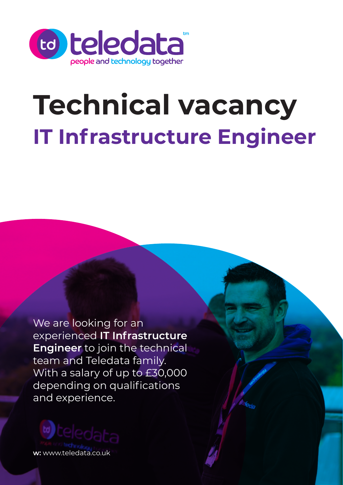

# **IT Infrastructure Engineer Technical vacancy**

We are looking for an experienced **IT Infrastructure Engineer** to join the technical team and Teledata family. With a salary of up to £30,000 depending on qualifications and experience.

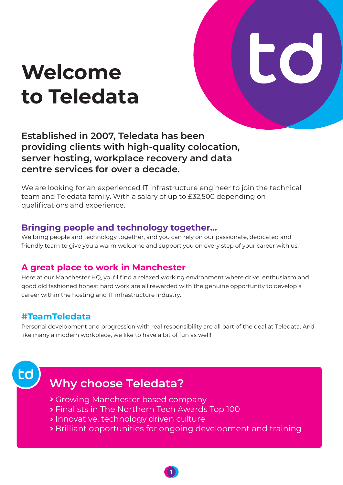# **Welcome to Teledata**



**Established in 2007, Teledata has been providing clients with high-quality colocation, server hosting, workplace recovery and data centre services for over a decade.**

We are looking for an experienced IT infrastructure engineer to join the technical team and Teledata family. With a salary of up to £32,500 depending on qualifications and experience.

#### **Bringing people and technology together...**

We bring people and technology together, and you can rely on our passionate, dedicated and friendly team to give you a warm welcome and support you on every step of your career with us.

#### **A great place to work in Manchester**

Here at our Manchester HQ, you'll find a relaxed working environment where drive, enthusiasm and good old fashioned honest hard work are all rewarded with the genuine opportunity to develop a career within the hosting and IT infrastructure industry.

#### **#TeamTeledata**

Personal development and progression with real responsibility are all part of the deal at Teledata. And like many a modern workplace, we like to have a bit of fun as well!



# **Why choose Teledata?**

- Growing Manchester based company
- Finalists in The Northern Tech Awards Top 100
- **Innovative, technology driven culture**
- Brilliant opportunities for ongoing development and training

1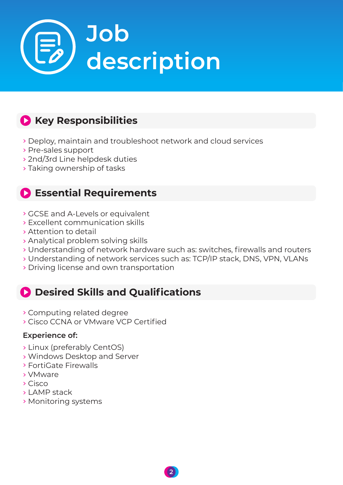

# **Key Responsibilities**

- Deploy, maintain and troubleshoot network and cloud services
- Pre-sales support
- 2nd/3rd Line helpdesk duties
- Taking ownership of tasks

## **Essential Requirements**

- GCSE and A-Levels or equivalent
- Excellent communication skills
- Attention to detail
- Analytical problem solving skills
- Understanding of network hardware such as: switches, firewalls and routers
- Understanding of network services such as: TCP/IP stack, DNS, VPN, VLANs
- Driving license and own transportation

# **Desired Skills and Qualifications**

- Computing related degree
- Cisco CCNA or VMware VCP Certified

#### **Experience of:**

- Linux (preferably CentOS)
- Windows Desktop and Server
- FortiGate Firewalls
- VMware
- Cisco
- LAMP stack
- Monitoring systems

2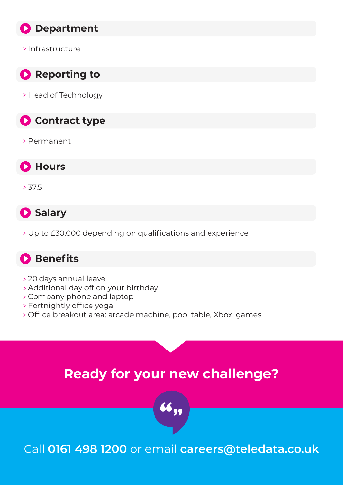

Infrastructure



> Head of Technology

**Contract type** 

Permanent



 $> 37.5$ 

**Salary** 

Up to £30,000 depending on qualifications and experience

### **Benefits**

- 20 days annual leave
- Additional day off on your birthday
- Company phone and laptop
- Fortnightly office yoga
- Office breakout area: arcade machine, pool table, Xbox, games

# **Ready for your new challenge?**



Call 0161 498 1200 or email **careers@teledata.co.uk**